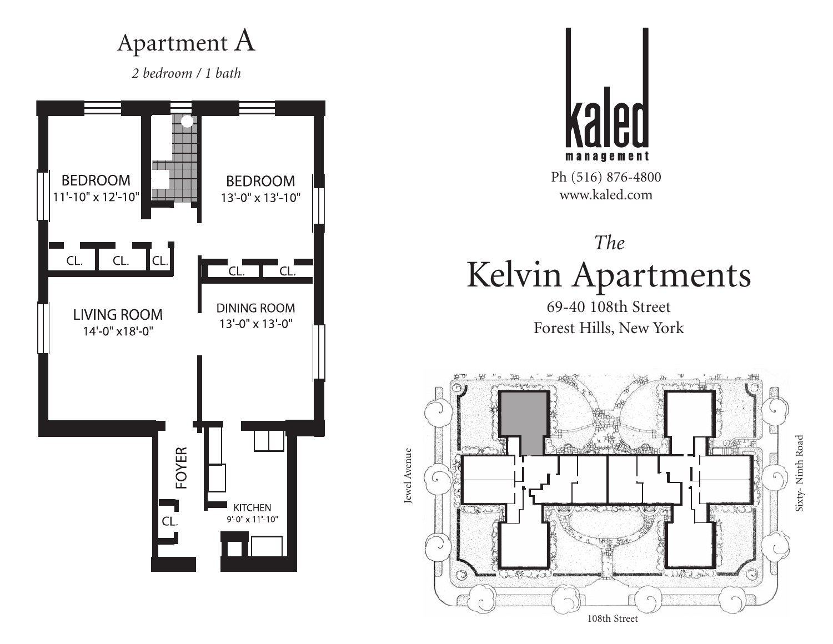#### Apartment A

*2 bedroom / 1 bath*





Ph (516) 876-4800 www.kaled.com

# *The* Kelvin Apartments

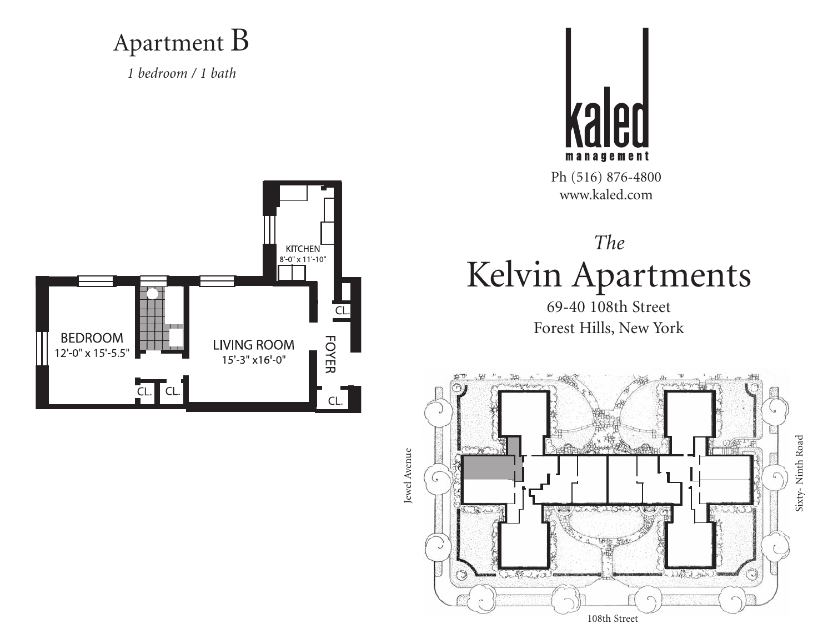Apartment B

*1 bedroom / 1 bath*



Ph (516) 876-4800 www.kaled.com





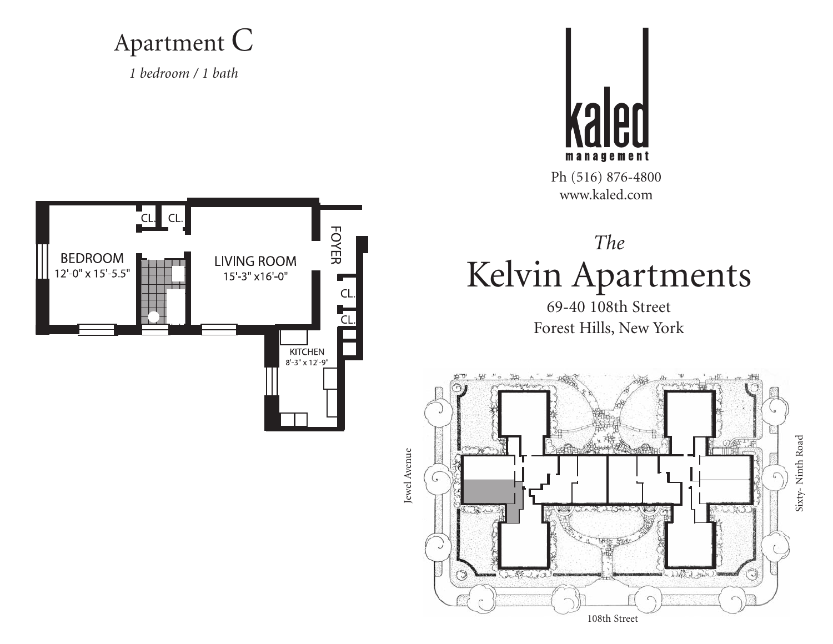Apartment C

*1 bedroom / 1 bath*



Ph (516) 876-4800 www.kaled.com





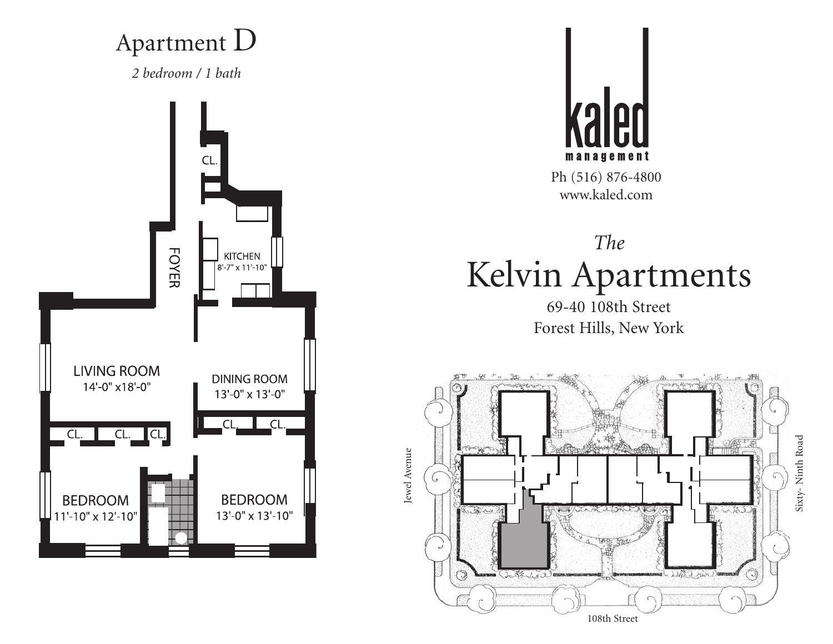### Apartment D

*2 bedroom / 1 bath*





Ph (516) 876-4800 www.kaled.com

# *The* Kelvin Apartments

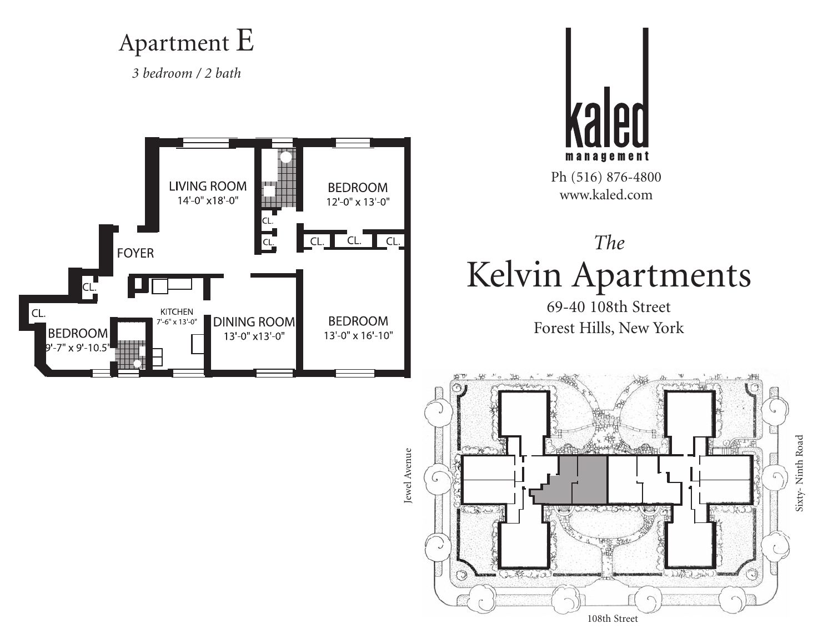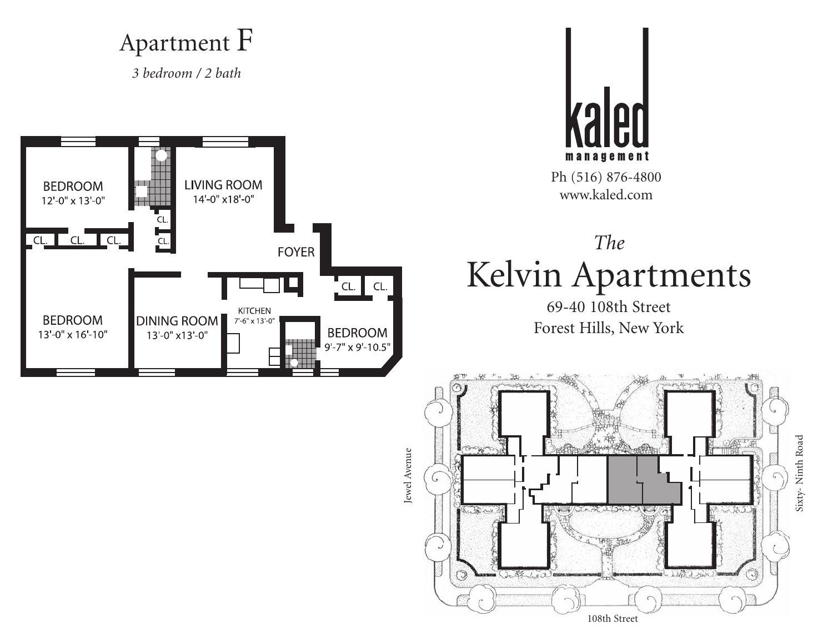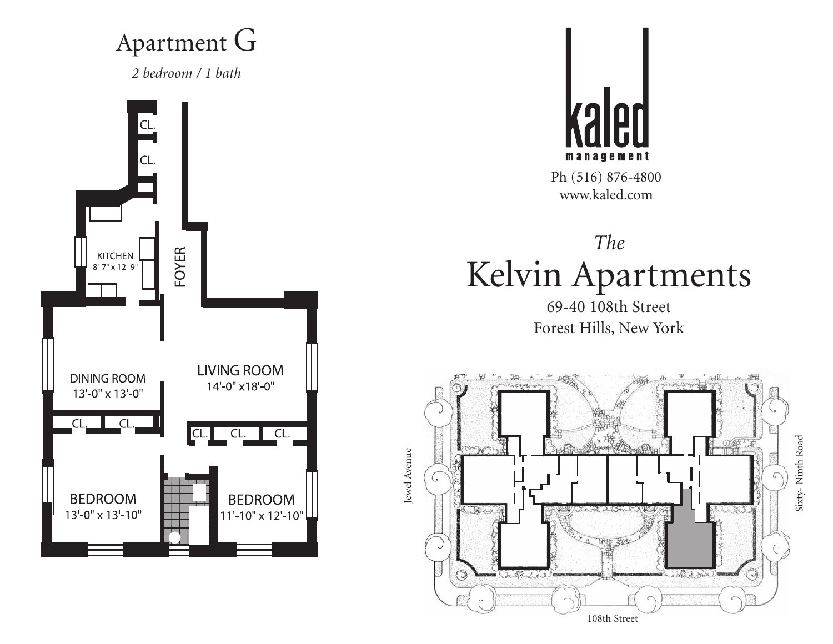## Apartment G

*2 bedroom / 1 bath*





Ph (516) 876-4800 www.kaled.com

# *The* Kelvin Apartments

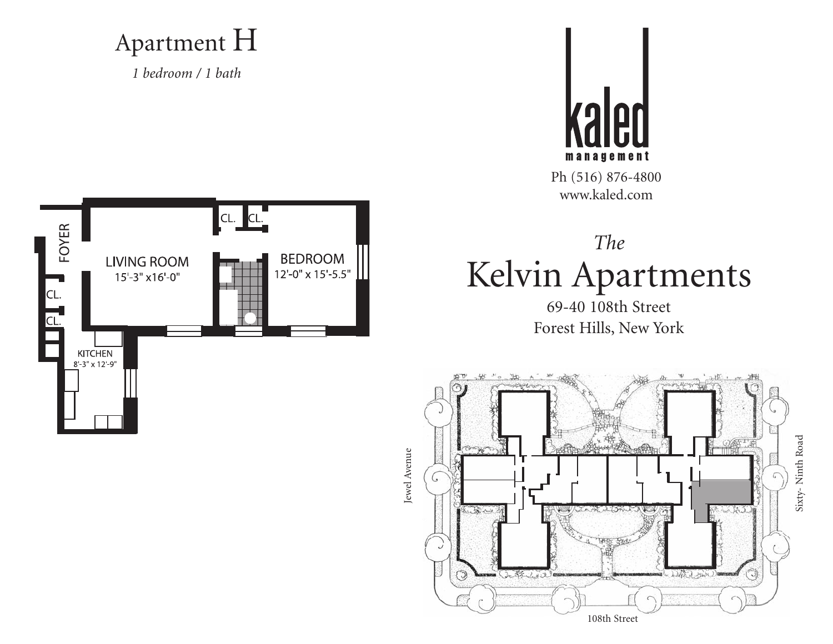#### Apartment H

*1 bedroom / 1 bath*



Ph (516) 876-4800 www.kaled.com





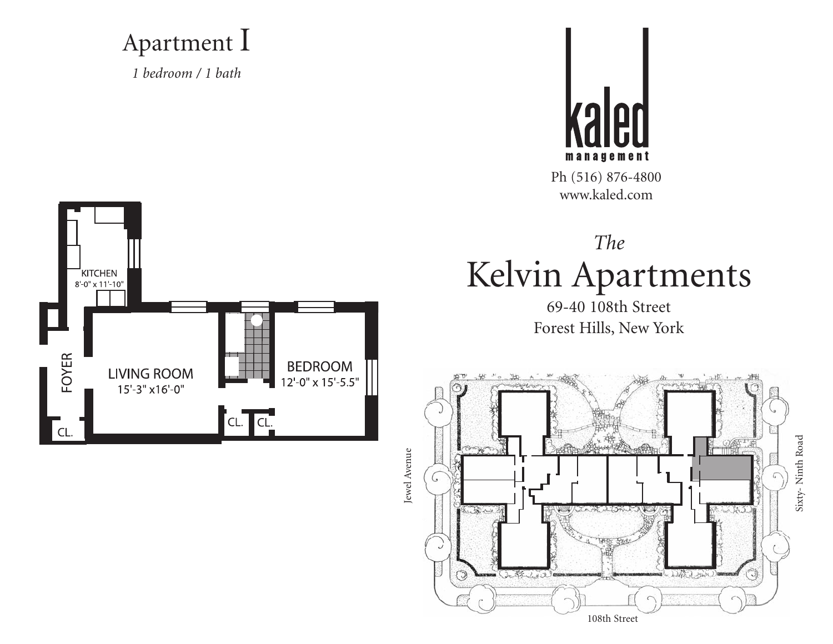#### Apartment I

*1 bedroom / 1 bath*



Ph (516) 876-4800 www.kaled.com



*The* Kelvin Apartments